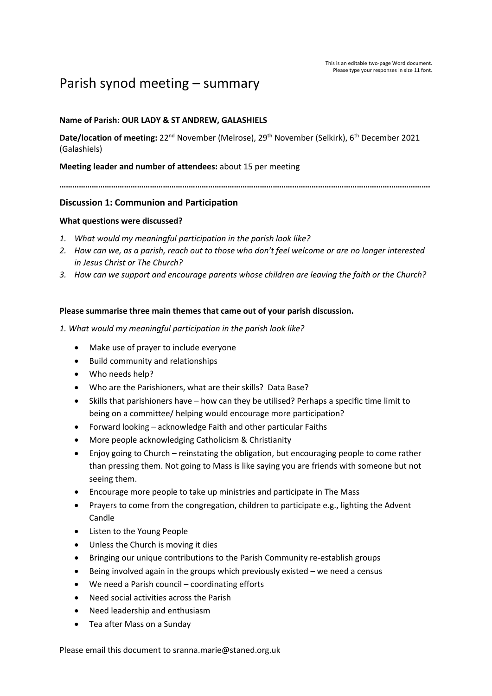This is an editable two-page Word document. Please type your responses in size 11 font.

# Parish synod meeting – summary

# **Name of Parish: OUR LADY & ST ANDREW, GALASHIELS**

Date/location of meeting: 22<sup>nd</sup> November (Melrose), 29<sup>th</sup> November (Selkirk), 6<sup>th</sup> December 2021 (Galashiels)

**……………………………………………………………………………………………………………………………………………………….**

**Meeting leader and number of attendees:** about 15 per meeting

# **Discussion 1: Communion and Participation**

### **What questions were discussed?**

- *1. What would my meaningful participation in the parish look like?*
- *2. How can we, as a parish, reach out to those who don't feel welcome or are no longer interested in Jesus Christ or The Church?*
- *3. How can we support and encourage parents whose children are leaving the faith or the Church?*

# **Please summarise three main themes that came out of your parish discussion.**

- *1. What would my meaningful participation in the parish look like?*
	- Make use of prayer to include everyone
	- Build community and relationships
	- Who needs help?
	- Who are the Parishioners, what are their skills? Data Base?
	- Skills that parishioners have how can they be utilised? Perhaps a specific time limit to being on a committee/ helping would encourage more participation?
	- Forward looking acknowledge Faith and other particular Faiths
	- More people acknowledging Catholicism & Christianity
	- Enjoy going to Church reinstating the obligation, but encouraging people to come rather than pressing them. Not going to Mass is like saying you are friends with someone but not seeing them.
	- Encourage more people to take up ministries and participate in The Mass
	- Prayers to come from the congregation, children to participate e.g., lighting the Advent Candle
	- Listen to the Young People
	- Unless the Church is moving it dies
	- Bringing our unique contributions to the Parish Community re-establish groups
	- Being involved again in the groups which previously existed we need a census
	- We need a Parish council coordinating efforts
	- Need social activities across the Parish
	- Need leadership and enthusiasm
	- Tea after Mass on a Sunday

Please email this document to sranna.marie@staned.org.uk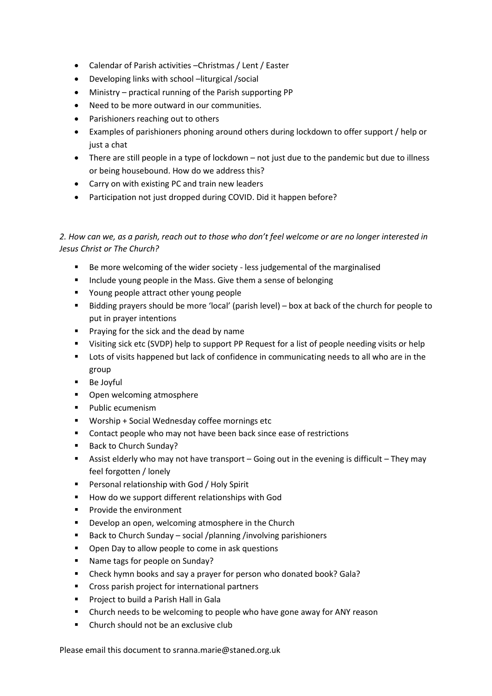- Calendar of Parish activities –Christmas / Lent / Easter
- Developing links with school –liturgical /social
- Ministry practical running of the Parish supporting PP
- Need to be more outward in our communities.
- Parishioners reaching out to others
- Examples of parishioners phoning around others during lockdown to offer support / help or just a chat
- There are still people in a type of lockdown not just due to the pandemic but due to illness or being housebound. How do we address this?
- Carry on with existing PC and train new leaders
- Participation not just dropped during COVID. Did it happen before?

*2. How can we, as a parish, reach out to those who don't feel welcome or are no longer interested in Jesus Christ or The Church?*

- Be more welcoming of the wider society less judgemental of the marginalised
- Include young people in the Mass. Give them a sense of belonging
- Young people attract other young people
- Bidding prayers should be more 'local' (parish level) box at back of the church for people to put in prayer intentions
- Praving for the sick and the dead by name
- Visiting sick etc (SVDP) help to support PP Request for a list of people needing visits or help
- Lots of visits happened but lack of confidence in communicating needs to all who are in the group
- Be Joyful
- Open welcoming atmosphere
- Public ecumenism
- Worship + Social Wednesday coffee mornings etc
- Contact people who may not have been back since ease of restrictions
- Back to Church Sunday?
- Assist elderly who may not have transport Going out in the evening is difficult They may feel forgotten / lonely
- Personal relationship with God / Holy Spirit
- How do we support different relationships with God
- Provide the environment
- Develop an open, welcoming atmosphere in the Church
- Back to Church Sunday social /planning /involving parishioners
- Open Day to allow people to come in ask questions
- Name tags for people on Sunday?
- Check hymn books and say a prayer for person who donated book? Gala?
- Cross parish project for international partners
- Project to build a Parish Hall in Gala
- Church needs to be welcoming to people who have gone away for ANY reason
- Church should not be an exclusive club

Please email this document to sranna.marie@staned.org.uk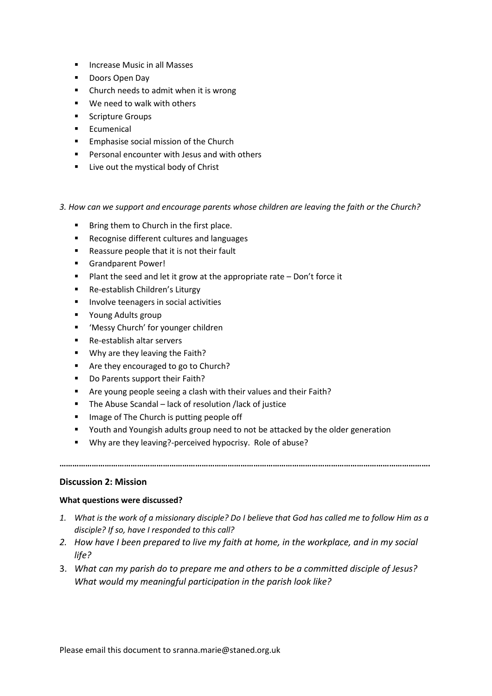- Increase Music in all Masses
- Doors Open Day
- Church needs to admit when it is wrong
- We need to walk with others
- Scripture Groups
- Ecumenical
- Emphasise social mission of the Church
- Personal encounter with Jesus and with others
- Live out the mystical body of Christ

# *3. How can we support and encourage parents whose children are leaving the faith or the Church?*

- Bring them to Church in the first place.
- Recognise different cultures and languages
- Reassure people that it is not their fault
- Grandparent Power!
- Plant the seed and let it grow at the appropriate rate Don't force it
- Re-establish Children's Liturgy
- Involve teenagers in social activities
- Young Adults group
- 'Messy Church' for younger children
- Re-establish altar servers
- Why are they leaving the Faith?
- Are they encouraged to go to Church?
- Do Parents support their Faith?
- Are young people seeing a clash with their values and their Faith?
- The Abuse Scandal lack of resolution /lack of justice
- Image of The Church is putting people off
- Youth and Youngish adults group need to not be attacked by the older generation
- Why are they leaving?-perceived hypocrisy. Role of abuse?

**Discussion 2: Mission**

# **What questions were discussed?**

*1. What is the work of a missionary disciple? Do I believe that God has called me to follow Him as a disciple? If so, have I responded to this call?* 

**……………………………………………………………………………………………………………………………………………………….**

- *2. How have I been prepared to live my faith at home, in the workplace, and in my social life?*
- 3. *What can my parish do to prepare me and others to be a committed disciple of Jesus? What would my meaningful participation in the parish look like?*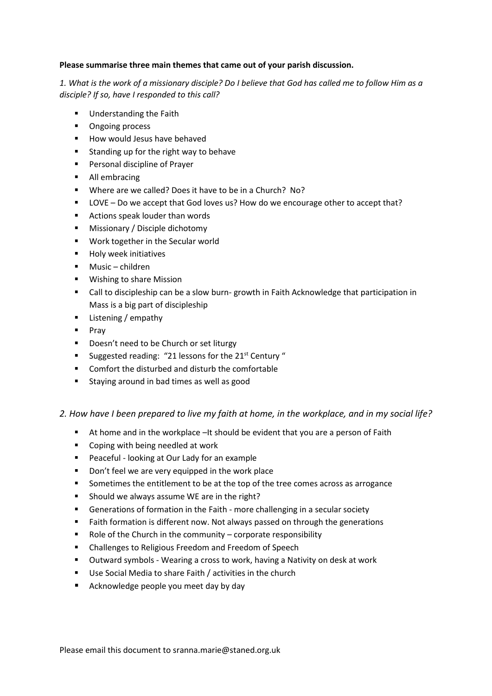# **Please summarise three main themes that came out of your parish discussion.**

*1. What is the work of a missionary disciple? Do I believe that God has called me to follow Him as a disciple? If so, have I responded to this call?* 

- Understanding the Faith
- Ongoing process
- How would Jesus have behaved
- Standing up for the right way to behave
- Personal discipline of Prayer
- All embracing
- Where are we called? Does it have to be in a Church? No?
- LOVE Do we accept that God loves us? How do we encourage other to accept that?
- Actions speak louder than words
- Missionary / Disciple dichotomy
- Work together in the Secular world
- Holy week initiatives
- Music children
- Wishing to share Mission
- Call to discipleship can be a slow burn- growth in Faith Acknowledge that participation in Mass is a big part of discipleship
- Listening / empathy
- Pray
- Doesn't need to be Church or set liturgy
- Suggested reading: "21 lessons for the 21<sup>st</sup> Century "
- Comfort the disturbed and disturb the comfortable
- Staying around in bad times as well as good

# *2. How have I been prepared to live my faith at home, in the workplace, and in my social life?*

- At home and in the workplace –It should be evident that you are a person of Faith
- Coping with being needled at work
- Peaceful looking at Our Lady for an example
- Don't feel we are very equipped in the work place
- Sometimes the entitlement to be at the top of the tree comes across as arrogance
- Should we always assume WE are in the right?
- Generations of formation in the Faith more challenging in a secular society
- Faith formation is different now. Not always passed on through the generations
- Role of the Church in the community corporate responsibility
- Challenges to Religious Freedom and Freedom of Speech
- Outward symbols Wearing a cross to work, having a Nativity on desk at work
- Use Social Media to share Faith / activities in the church
- Acknowledge people you meet day by day